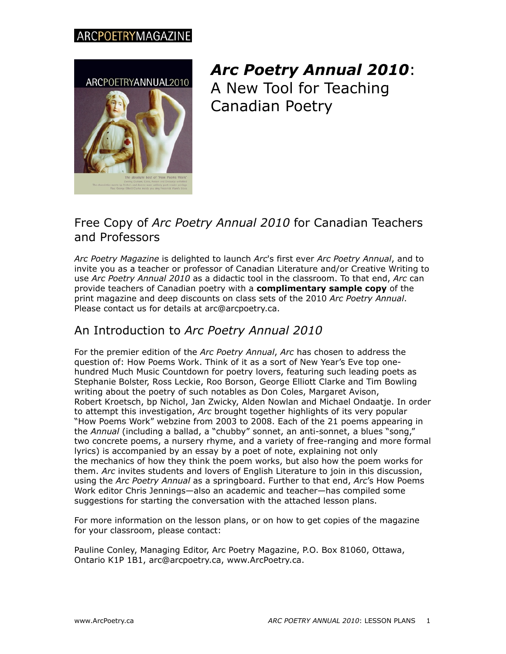

*Arc Poetry Annual 2010*: A New Tool for Teaching Canadian Poetry

#### Free Copy of *Arc Poetry Annual 2010* for Canadian Teachers and Professors

*Arc Poetry Magazine* is delighted to launch *Arc*'s first ever *Arc Poetry Annual*, and to invite you as a teacher or professor of Canadian Literature and/or Creative Writing to use *Arc Poetry Annual 2010* as a didactic tool in the classroom. To that end, *Arc* can provide teachers of Canadian poetry with a **complimentary sample copy** of the print magazine and deep discounts on class sets of the 2010 *Arc Poetry Annual*. Please contact us for details at arc@arcpoetry.ca.

### An Introduction to *Arc Poetry Annual 2010*

For the premier edition of the *Arc Poetry Annual*, *Arc* has chosen to address the question of: How Poems Work. Think of it as a sort of New Year's Eve top onehundred Much Music Countdown for poetry lovers, featuring such leading poets as Stephanie Bolster, Ross Leckie, Roo Borson, George Elliott Clarke and Tim Bowling writing about the poetry of such notables as Don Coles, Margaret Avison, Robert Kroetsch, bp Nichol, Jan Zwicky, Alden Nowlan and Michael Ondaatje. In order to attempt this investigation, *Arc* brought together highlights of its very popular "How Poems Work" webzine from 2003 to 2008. Each of the 21 poems appearing in the *Annual* (including a ballad, a "chubby" sonnet, an anti-sonnet, a blues "song," two concrete poems, a nursery rhyme, and a variety of free-ranging and more formal lyrics) is accompanied by an essay by a poet of note, explaining not only the mechanics of how they think the poem works, but also how the poem works for them. *Arc* invites students and lovers of English Literature to join in this discussion, using the *Arc Poetry Annual* as a springboard. Further to that end, *Arc*'s How Poems Work editor Chris Jennings—also an academic and teacher—has compiled some suggestions for starting the conversation with the attached lesson plans.

For more information on the lesson plans, or on how to get copies of the magazine for your classroom, please contact:

Pauline Conley, Managing Editor, Arc Poetry Magazine, P.O. Box 81060, Ottawa, Ontario K1P 1B1, arc@arcpoetry.ca, www.ArcPoetry.ca.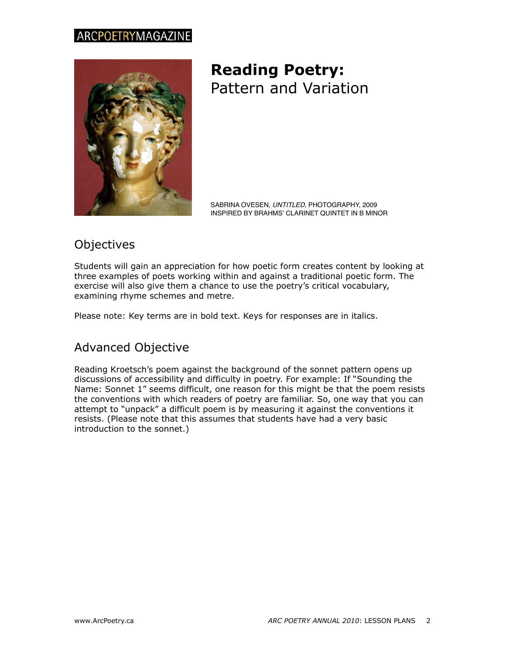

### **Reading Poetry:**  Pattern and Variation

SABRINA OVESEN, *UNTITLED*, PHOTOGRAPHY, 2009 INSPIRED BY BRAHMS' CLARINET QUINTET IN B MINOR

### **Objectives**

Students will gain an appreciation for how poetic form creates content by looking at three examples of poets working within and against a traditional poetic form. The exercise will also give them a chance to use the poetry's critical vocabulary, examining rhyme schemes and metre.

Please note: Key terms are in bold text. Keys for responses are in italics.

#### Advanced Objective

Reading Kroetsch's poem against the background of the sonnet pattern opens up discussions of accessibility and difficulty in poetry. For example: If "Sounding the Name: Sonnet 1" seems difficult, one reason for this might be that the poem resists the conventions with which readers of poetry are familiar. So, one way that you can attempt to "unpack" a difficult poem is by measuring it against the conventions it resists. (Please note that this assumes that students have had a very basic introduction to the sonnet.)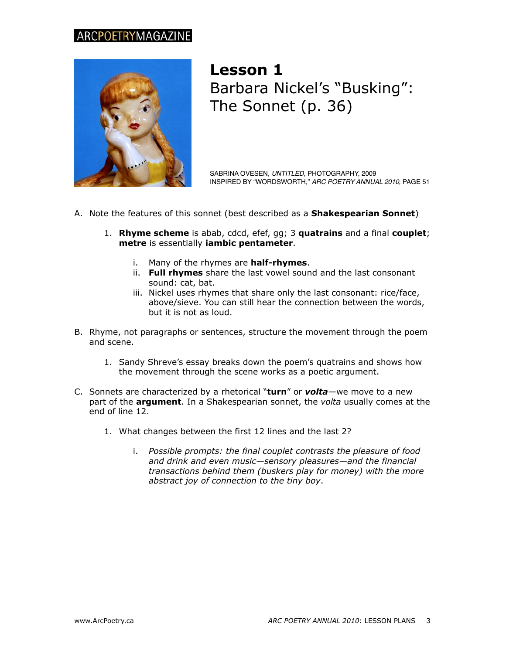

### **Lesson 1** Barbara Nickel's "Busking": The Sonnet (p. 36)

SABRINA OVESEN, *UNTITLED*, PHOTOGRAPHY, 2009 INSPIRED BY "WORDSWORTH," *ARC POETRY ANNUAL 2010*, PAGE 51

- A. Note the features of this sonnet (best described as a **Shakespearian Sonnet**)
	- 1. **Rhyme scheme** is abab, cdcd, efef, gg; 3 **quatrains** and a final **couplet**; **metre** is essentially **iambic pentameter**.
		- i. Many of the rhymes are **half-rhymes**.
		- ii. **Full rhymes** share the last vowel sound and the last consonant sound: cat, bat.
		- iii. Nickel uses rhymes that share only the last consonant: rice/face, above/sieve. You can still hear the connection between the words, but it is not as loud.
- B. Rhyme, not paragraphs or sentences, structure the movement through the poem and scene.
	- 1. Sandy Shreve's essay breaks down the poem's quatrains and shows how the movement through the scene works as a poetic argument.
- C. Sonnets are characterized by a rhetorical "**turn**" or *volta—*we move to a new part of the **argument**. In a Shakespearian sonnet, the *volta* usually comes at the end of line 12.
	- 1. What changes between the first 12 lines and the last 2?
		- i. *Possible prompts: the final couplet contrasts the pleasure of food and drink and even music—sensory pleasures—and the financial transactions behind them (buskers play for money) with the more abstract joy of connection to the tiny boy*.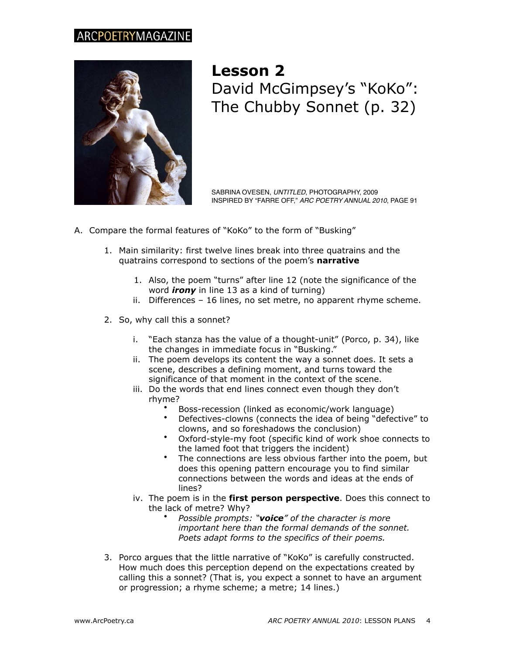

## **Lesson 2** David McGimpsey's "KoKo": The Chubby Sonnet (p. 32)

SABRINA OVESEN, *UNTITLED*, PHOTOGRAPHY, 2009 INSPIRED BY "FARRE OFF," *ARC POETRY ANNUAL 2010*, PAGE 91

- A. Compare the formal features of "KoKo" to the form of "Busking"
	- 1. Main similarity: first twelve lines break into three quatrains and the quatrains correspond to sections of the poem's **narrative**
		- 1. Also, the poem "turns" after line 12 (note the significance of the word *irony* in line 13 as a kind of turning)
		- ii. Differences 16 lines, no set metre, no apparent rhyme scheme.
	- 2. So, why call this a sonnet?
		- i. "Each stanza has the value of a thought-unit" (Porco, p. 34), like the changes in immediate focus in "Busking."
		- ii. The poem develops its content the way a sonnet does. It sets a scene, describes a defining moment, and turns toward the significance of that moment in the context of the scene.
		- iii. Do the words that end lines connect even though they don't rhyme?
			- Boss-recession (linked as economic/work language)
			- Defectives-clowns (connects the idea of being "defective" to clowns, and so foreshadows the conclusion)
			- Oxford-style-my foot (specific kind of work shoe connects to the lamed foot that triggers the incident)
			- The connections are less obvious farther into the poem, but does this opening pattern encourage you to find similar connections between the words and ideas at the ends of lines?
		- iv. The poem is in the **first person perspective**. Does this connect to the lack of metre? Why?
			- *Possible prompts: "voice" of the character is more important here than the formal demands of the sonnet. Poets adapt forms to the specifics of their poems.*
	- 3. Porco argues that the little narrative of "KoKo" is carefully constructed. How much does this perception depend on the expectations created by calling this a sonnet? (That is, you expect a sonnet to have an argument or progression; a rhyme scheme; a metre; 14 lines.)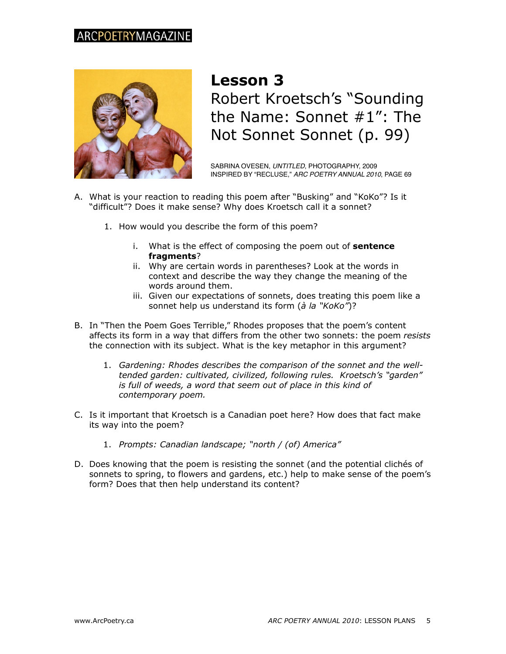

**Lesson 3** Robert Kroetsch's "Sounding the Name: Sonnet #1": The Not Sonnet Sonnet (p. 99)

SABRINA OVESEN, *UNTITLED*, PHOTOGRAPHY, 2009 INSPIRED BY "RECLUSE," *ARC POETRY ANNUAL 2010*, PAGE 69

- A. What is your reaction to reading this poem after "Busking" and "KoKo"? Is it "difficult"? Does it make sense? Why does Kroetsch call it a sonnet?
	- 1. How would you describe the form of this poem?
		- i. What is the effect of composing the poem out of **sentence fragments**?
		- ii. Why are certain words in parentheses? Look at the words in context and describe the way they change the meaning of the words around them.
		- iii. Given our expectations of sonnets, does treating this poem like a sonnet help us understand its form (*à la "KoKo"*)?
- B. In "Then the Poem Goes Terrible," Rhodes proposes that the poem's content affects its form in a way that differs from the other two sonnets: the poem *resists* the connection with its subject. What is the key metaphor in this argument?
	- 1. *Gardening: Rhodes describes the comparison of the sonnet and the welltended garden: cultivated, civilized, following rules. Kroetsch's "garden" is full of weeds, a word that seem out of place in this kind of contemporary poem.*
- C. Is it important that Kroetsch is a Canadian poet here? How does that fact make its way into the poem?
	- 1. *Prompts: Canadian landscape; "north / (of) America"*
- D. Does knowing that the poem is resisting the sonnet (and the potential clichés of sonnets to spring, to flowers and gardens, etc.) help to make sense of the poem's form? Does that then help understand its content?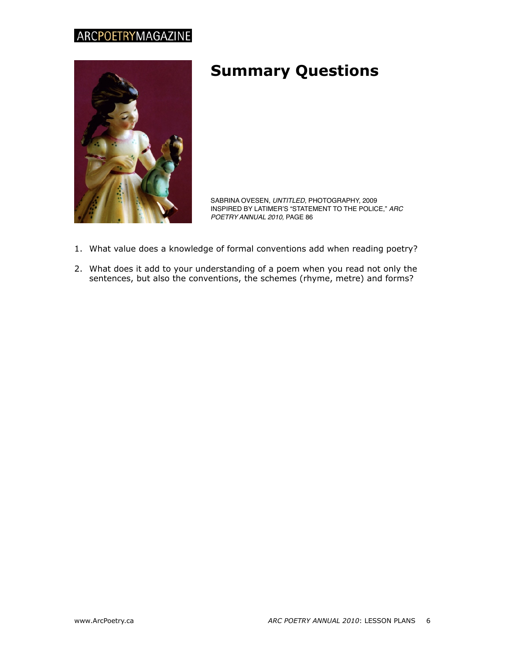

# **Summary Questions**

SABRINA OVESEN, *UNTITLED*, PHOTOGRAPHY, 2009 INSPIRED BY LATIMER!S "STATEMENT TO THE POLICE," *ARC POETRY ANNUAL 2010,* PAGE 86

- 1. What value does a knowledge of formal conventions add when reading poetry?
- 2. What does it add to your understanding of a poem when you read not only the sentences, but also the conventions, the schemes (rhyme, metre) and forms?